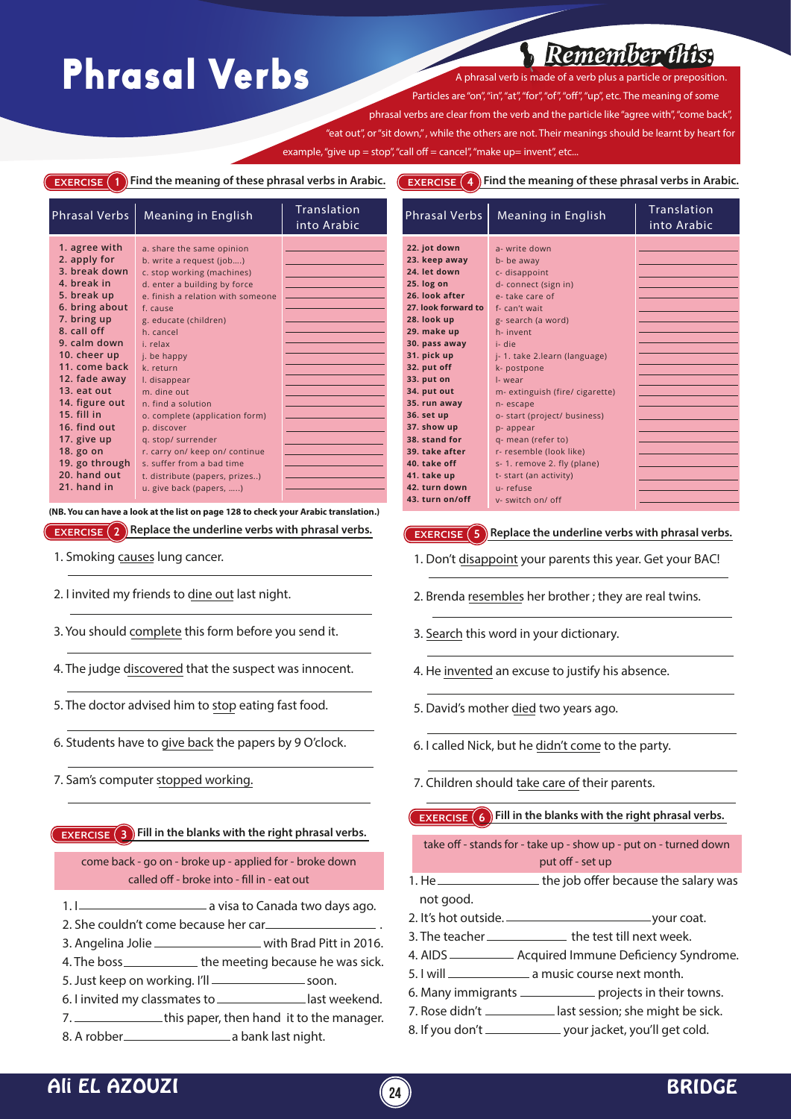## Phrasal Verbs Aphrasal verb is made of

*Remember this:*

Particles are "on", "in", "at", "for", "of", "off", "up", etc. The meaning of some phrasal verbs are clear from the verb and the particle like "agree with", "come back", 'eat out", or "sit down," , while the others are not. Their meanings should be learnt by heart for example, "give up = stop", "call off = cancel", "make up= invent", etc...

**EXERCISE** 1 Find the meaning of these phrasal verbs in Arabic.

**EXERCISE 4 Find the meaning of these phrasal verbs in Arabic.**

| <b>Phrasal Verbs</b>                                                                                                                                                                                                                                                                                                         | Meaning in English                                                                                                                                                                                                                                                                                                                                                                                                                            | Translation<br>into Arabic |
|------------------------------------------------------------------------------------------------------------------------------------------------------------------------------------------------------------------------------------------------------------------------------------------------------------------------------|-----------------------------------------------------------------------------------------------------------------------------------------------------------------------------------------------------------------------------------------------------------------------------------------------------------------------------------------------------------------------------------------------------------------------------------------------|----------------------------|
| 1. agree with<br>2. apply for<br>3. break down<br>4. break in<br>5. break up<br>6. bring about<br>7. bring up<br>8. call off<br>9. calm down<br>10. cheer up<br>11. come back<br>12. fade away<br>13. eat out<br>14. figure out<br>15. fill in<br>16. find out<br>17. give up<br>18. go on<br>19. go through<br>20. hand out | a. share the same opinion<br>b. write a request (job)<br>c. stop working (machines)<br>d. enter a building by force<br>e, finish a relation with someone<br>f. cause<br>g. educate (children)<br>h. cancel<br>i. relax<br>j. be happy<br>k. return<br>I. disappear<br>m. dine out<br>n. find a solution<br>o. complete (application form)<br>p. discover<br>q. stop/ surrender<br>r. carry on/ keep on/ continue<br>s. suffer from a bad time |                            |
| 21. hand in                                                                                                                                                                                                                                                                                                                  | t. distribute (papers, prizes)<br>u. give back (papers, )                                                                                                                                                                                                                                                                                                                                                                                     |                            |

**EXERCISE 2 Replace the underline verbs with phrasal verbs. (NB. You can have a look at the list on page 128 to check your Arabic translation.)**

- 1. Smoking causes lung cancer.
- 2. I invited my friends to dine out last night.
- 3. You should complete this form before you send it.
- 4. The judge discovered that the suspect was innocent.
- 5. The doctor advised him to stop eating fast food.
- 6. Students have to give back the papers by 9 O'clock.
- 7. Sam's computer stopped working.

**EXERCISE 3 Fill in the blanks with the right phrasal verbs.**

come back - go on - broke up - applied for - broke down called off - broke into - fill in - eat out

- 1. I <u>construction and its canada two</u> days ago.
- 2. She couldn't come because her car.
- 3. Angelina Jolie \_\_\_\_\_\_\_\_\_\_\_\_\_\_\_\_\_\_\_\_ with Brad Pitt in 2016.
- 4. The boss \_\_\_\_\_\_\_\_\_\_\_\_\_ the meeting because he was sick.
- 5. Just keep on working. I'll \_\_\_\_\_\_\_\_\_\_\_\_\_\_\_\_\_\_ soon.
- 6. I invited my classmates to \_\_\_\_\_\_\_\_\_\_\_\_\_\_ last weekend.
- 7. This paper, then hand it to the manager.
- 8. A robber a bank last night.

| <b>Phrasal Verbs</b> | Meaning in English              | <b>Translation</b><br>into Arabic |
|----------------------|---------------------------------|-----------------------------------|
| 22. jot down         | a- write down                   |                                   |
| 23. keep away        | b- be away                      |                                   |
| 24. let down         | c- disappoint                   |                                   |
| 25. log on           | d- connect (sign in)            |                                   |
| 26. look after       | e-take care of                  |                                   |
| 27. look forward to  | f-can't wait                    |                                   |
| 28. look up          | g- search (a word)              |                                   |
| 29. make up          | h-invent                        |                                   |
| 30. pass away        | i- die                          |                                   |
| 31. pick up          | j-1. take 2.learn (language)    |                                   |
| 32. put off          | k- postpone                     |                                   |
| 33. put on           | I-wear                          |                                   |
| 34. put out          | m- extinguish (fire/ cigarette) |                                   |
| 35. run away         | n-escape                        |                                   |
| 36. set up           | o- start (project/ business)    |                                   |
| 37. show up          | p- appear                       |                                   |
| 38. stand for        | q- mean (refer to)              |                                   |
| 39. take after       | r- resemble (look like)         |                                   |
| 40. take off         | s-1. remove 2. fly (plane)      |                                   |
| 41. take up          | t- start (an activity)          |                                   |
| 42. turn down        | u-refuse                        |                                   |
| 43. turn on/off      | v- switch on/ off               |                                   |

**EXERCISE (5) Replace the underline verbs with phrasal verbs.** 

- 1. Don't disappoint your parents this year. Get your BAC!
- 2. Brenda resembles her brother ; they are real twins.
- 3. Search this word in your dictionary.
- 4. He invented an excuse to justify his absence.
- 5. David's mother died two years ago.
- 6. I called Nick, but he didn't come to the party.
- 7. Children should take care of their parents.

**EXERCISE 6** Fill in the blanks with the right phrasal verbs.

take off - stands for - take up - show up - put on - turned down put off - set up

- 1. He \_\_\_\_\_\_\_\_\_\_\_\_\_\_\_\_\_\_\_\_\_ the job offer because the salary was not good.
- 2. It's hot outside. <u>Committee of the state of the state</u>
- 3. The teacher \_\_\_\_\_\_\_\_\_\_\_\_\_\_\_ the test till next week.
- 4. AIDS \_\_\_\_\_\_\_\_\_\_\_\_\_ Acquired Immune Deficiency Syndrome.
- 5. I will **ships a music course next month.**
- 6. Many immigrants \_\_\_\_\_\_\_\_\_\_\_\_\_ projects in their towns.
- 7. Rose didn't \_\_\_\_\_\_\_\_\_\_\_\_ last session; she might be sick.
- 8. If you don't \_\_\_\_\_\_\_\_\_\_\_\_\_\_ your jacket, you'll get cold.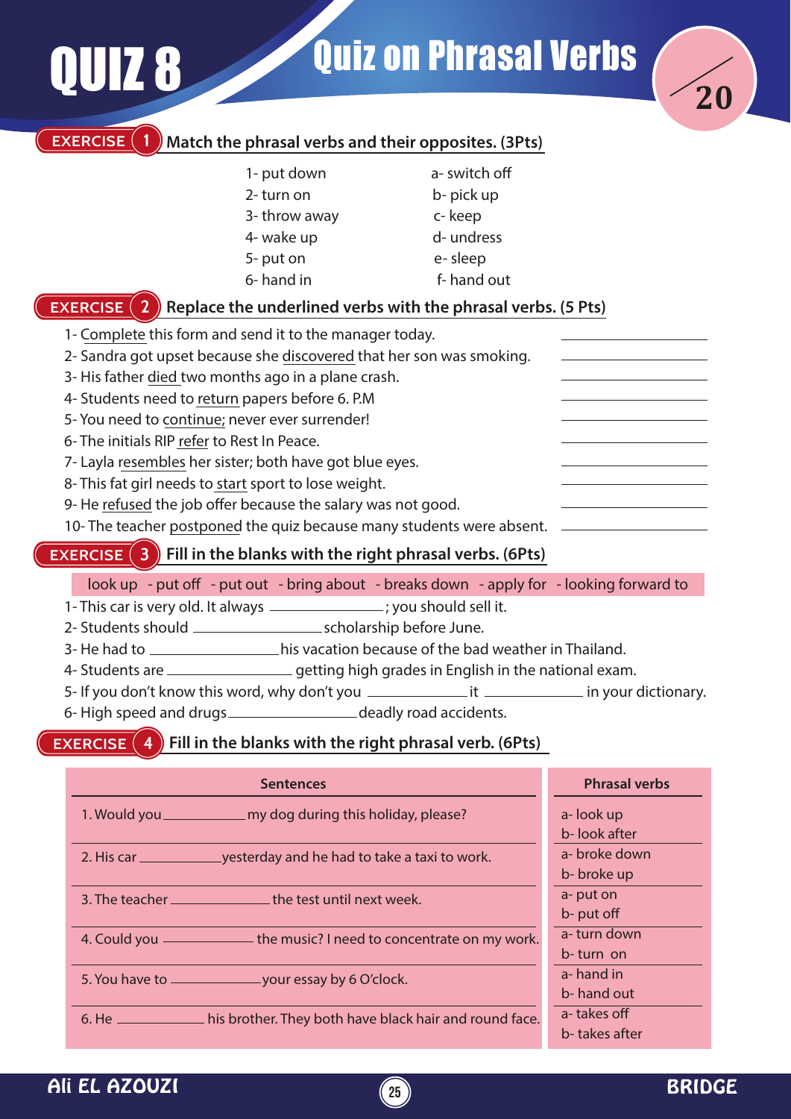|                                                                                                                                                                                                                                                                                                                                                                                                                                                                                                                                                                                                 | <b>QUIZ 8</b>                                                 |                                                                                                                                                                                                                                                                                                                                                                                                                                                                                                                                                         | <b>Quiz on Phrasal Verbs</b>                                               |                                                          |
|-------------------------------------------------------------------------------------------------------------------------------------------------------------------------------------------------------------------------------------------------------------------------------------------------------------------------------------------------------------------------------------------------------------------------------------------------------------------------------------------------------------------------------------------------------------------------------------------------|---------------------------------------------------------------|---------------------------------------------------------------------------------------------------------------------------------------------------------------------------------------------------------------------------------------------------------------------------------------------------------------------------------------------------------------------------------------------------------------------------------------------------------------------------------------------------------------------------------------------------------|----------------------------------------------------------------------------|----------------------------------------------------------|
|                                                                                                                                                                                                                                                                                                                                                                                                                                                                                                                                                                                                 | <b>EXERCISE</b><br><b>EXERCISE</b> (<br>$\sqrt{2}$            | Match the phrasal verbs and their opposites. (3Pts)<br>1- put down<br>2-turn on<br>3-throw away<br>4- wake up<br>5-put on<br>6-hand in<br>Replace the underlined verbs with the phrasal verbs. (5 Pts)                                                                                                                                                                                                                                                                                                                                                  | a-switch off<br>b-pick up<br>c-keep<br>d- undress<br>e-sleep<br>f-hand out |                                                          |
|                                                                                                                                                                                                                                                                                                                                                                                                                                                                                                                                                                                                 | 6- The initials RIP refer to Rest In Peace.<br>$\overline{3}$ | 1- Complete this form and send it to the manager today.<br>2- Sandra got upset because she discovered that her son was smoking.<br>3-His father died two months ago in a plane crash.<br>4- Students need to return papers before 6. P.M<br>5- You need to continue; never ever surrender!<br>7- Layla resembles her sister; both have got blue eyes.<br>8- This fat girl needs to start sport to lose weight.<br>9- He refused the job offer because the salary was not good.<br>10- The teacher postponed the quiz because many students were absent. |                                                                            |                                                          |
| <b>EXERCISE</b><br>Fill in the blanks with the right phrasal verbs. (6Pts)<br>look up - put off - put out - bring about - breaks down - apply for - looking forward to<br>1- This car is very old. It always _______________; you should sell it.<br>3- He had to __________________his vacation because of the bad weather in Thailand.<br>4- Students are _______________________getting high grades in English in the national exam.<br>6-High speed and drugs _______________________deadly road accidents.<br><b>EXERCISE</b> $(4)$ Fill in the blanks with the right phrasal verb. (6Pts) |                                                               |                                                                                                                                                                                                                                                                                                                                                                                                                                                                                                                                                         |                                                                            |                                                          |
|                                                                                                                                                                                                                                                                                                                                                                                                                                                                                                                                                                                                 |                                                               | <b>Sentences</b>                                                                                                                                                                                                                                                                                                                                                                                                                                                                                                                                        |                                                                            | <b>Phrasal verbs</b>                                     |
|                                                                                                                                                                                                                                                                                                                                                                                                                                                                                                                                                                                                 |                                                               | 1. Would you _______________ my dog during this holiday, please?                                                                                                                                                                                                                                                                                                                                                                                                                                                                                        |                                                                            | a-look up<br>b-look after<br>a- broke down<br>b-broke up |
|                                                                                                                                                                                                                                                                                                                                                                                                                                                                                                                                                                                                 |                                                               | 3. The teacher _________________ the test until next week.<br>4. Could you ______________ the music? I need to concentrate on my work.                                                                                                                                                                                                                                                                                                                                                                                                                  |                                                                            | a-put on<br>b- put off<br>a-turn down                    |
|                                                                                                                                                                                                                                                                                                                                                                                                                                                                                                                                                                                                 |                                                               |                                                                                                                                                                                                                                                                                                                                                                                                                                                                                                                                                         |                                                                            | b-turn on<br>a-hand in<br>b-hand out<br>a-takes off      |
|                                                                                                                                                                                                                                                                                                                                                                                                                                                                                                                                                                                                 |                                                               | 6. He ______________ his brother. They both have black hair and round face.                                                                                                                                                                                                                                                                                                                                                                                                                                                                             |                                                                            | b-takes after                                            |

**25**

## Ali EL AZOUZI (25) BRIDGE